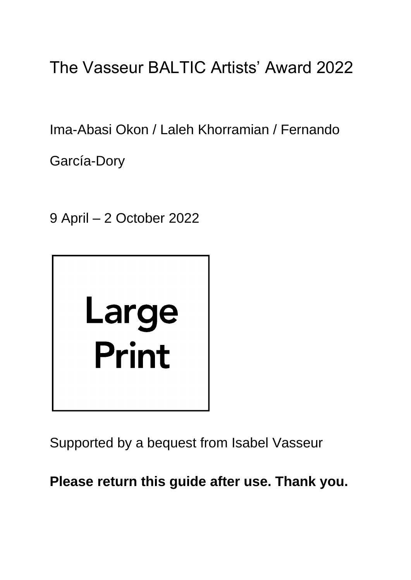# The Vasseur BALTIC Artists' Award 2022

Ima-Abasi Okon / Laleh Khorramian / Fernando

García-Dory

9 April – 2 October 2022



Supported by a bequest from Isabel Vasseur

**Please return this guide after use. Thank you.**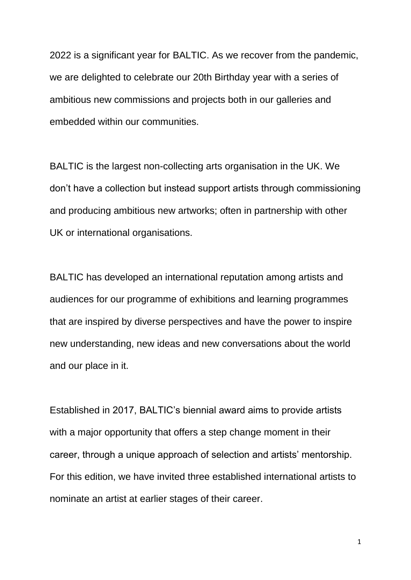2022 is a significant year for BALTIC. As we recover from the pandemic, we are delighted to celebrate our 20th Birthday year with a series of ambitious new commissions and projects both in our galleries and embedded within our communities.

BALTIC is the largest non-collecting arts organisation in the UK. We don't have a collection but instead support artists through commissioning and producing ambitious new artworks; often in partnership with other UK or international organisations.

BALTIC has developed an international reputation among artists and audiences for our programme of exhibitions and learning programmes that are inspired by diverse perspectives and have the power to inspire new understanding, new ideas and new conversations about the world and our place in it.

Established in 2017, BALTIC's biennial award aims to provide artists with a major opportunity that offers a step change moment in their career, through a unique approach of selection and artists' mentorship. For this edition, we have invited three established international artists to nominate an artist at earlier stages of their career.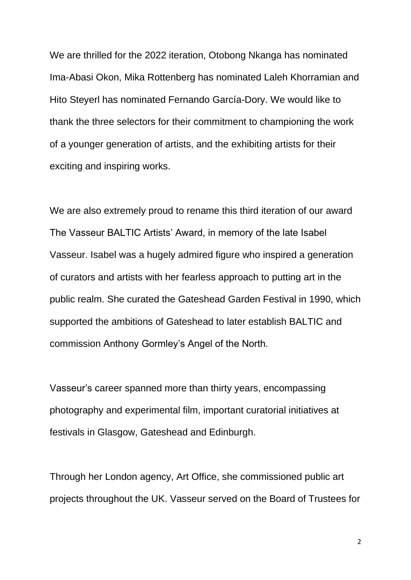We are thrilled for the 2022 iteration, Otobong Nkanga has nominated Ima-Abasi Okon, Mika Rottenberg has nominated Laleh Khorramian and Hito Steyerl has nominated Fernando García-Dory. We would like to thank the three selectors for their commitment to championing the work of a younger generation of artists, and the exhibiting artists for their exciting and inspiring works.

We are also extremely proud to rename this third iteration of our award The Vasseur BALTIC Artists' Award, in memory of the late Isabel Vasseur. Isabel was a hugely admired figure who inspired a generation of curators and artists with her fearless approach to putting art in the public realm. She curated the Gateshead Garden Festival in 1990, which supported the ambitions of Gateshead to later establish BALTIC and commission Anthony Gormley's Angel of the North.

Vasseur's career spanned more than thirty years, encompassing photography and experimental film, important curatorial initiatives at festivals in Glasgow, Gateshead and Edinburgh.

Through her London agency, Art Office, she commissioned public art projects throughout the UK. Vasseur served on the Board of Trustees for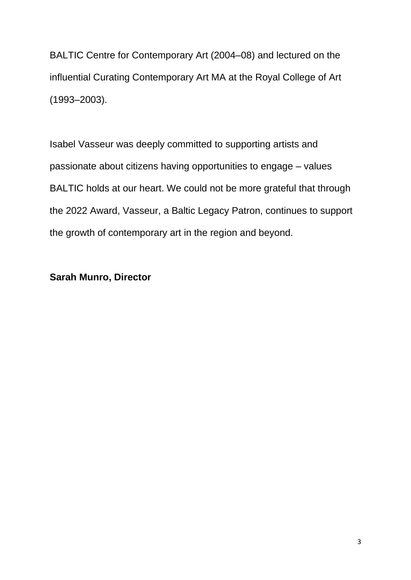BALTIC Centre for Contemporary Art (2004–08) and lectured on the influential Curating Contemporary Art MA at the Royal College of Art (1993–2003).

Isabel Vasseur was deeply committed to supporting artists and passionate about citizens having opportunities to engage – values BALTIC holds at our heart. We could not be more grateful that through the 2022 Award, Vasseur, a Baltic Legacy Patron, continues to support the growth of contemporary art in the region and beyond.

#### **Sarah Munro, Director**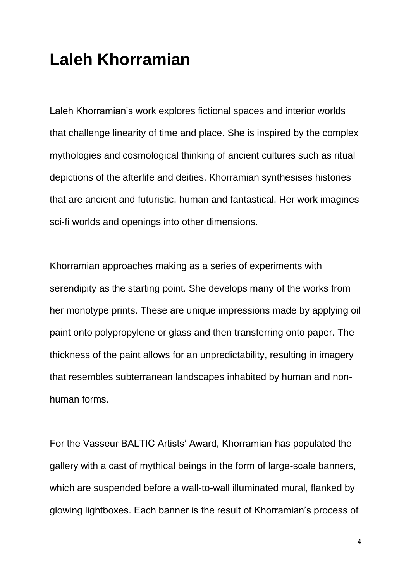#### **Laleh Khorramian**

Laleh Khorramian's work explores fictional spaces and interior worlds that challenge linearity of time and place. She is inspired by the complex mythologies and cosmological thinking of ancient cultures such as ritual depictions of the afterlife and deities. Khorramian synthesises histories that are ancient and futuristic, human and fantastical. Her work imagines sci-fi worlds and openings into other dimensions.

Khorramian approaches making as a series of experiments with serendipity as the starting point. She develops many of the works from her monotype prints. These are unique impressions made by applying oil paint onto polypropylene or glass and then transferring onto paper. The thickness of the paint allows for an unpredictability, resulting in imagery that resembles subterranean landscapes inhabited by human and nonhuman forms.

For the Vasseur BALTIC Artists' Award, Khorramian has populated the gallery with a cast of mythical beings in the form of large-scale banners, which are suspended before a wall-to-wall illuminated mural, flanked by glowing lightboxes. Each banner is the result of Khorramian's process of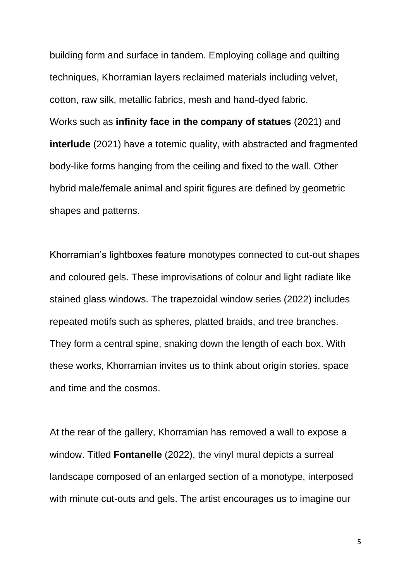building form and surface in tandem. Employing collage and quilting techniques, Khorramian layers reclaimed materials including velvet, cotton, raw silk, metallic fabrics, mesh and hand-dyed fabric. Works such as **infinity face in the company of statues** (2021) and **interlude** (2021) have a totemic quality, with abstracted and fragmented body-like forms hanging from the ceiling and fixed to the wall. Other hybrid male/female animal and spirit figures are defined by geometric shapes and patterns.

Khorramian's lightboxes feature monotypes connected to cut-out shapes and coloured gels. These improvisations of colour and light radiate like stained glass windows. The trapezoidal window series (2022) includes repeated motifs such as spheres, platted braids, and tree branches. They form a central spine, snaking down the length of each box. With these works, Khorramian invites us to think about origin stories, space and time and the cosmos.

At the rear of the gallery, Khorramian has removed a wall to expose a window. Titled **Fontanelle** (2022), the vinyl mural depicts a surreal landscape composed of an enlarged section of a monotype, interposed with minute cut-outs and gels. The artist encourages us to imagine our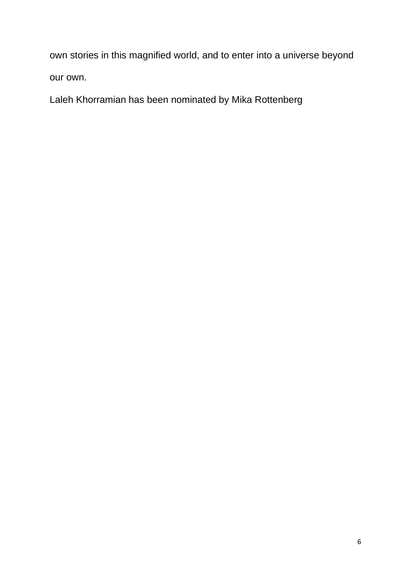own stories in this magnified world, and to enter into a universe beyond our own.

Laleh Khorramian has been nominated by Mika Rottenberg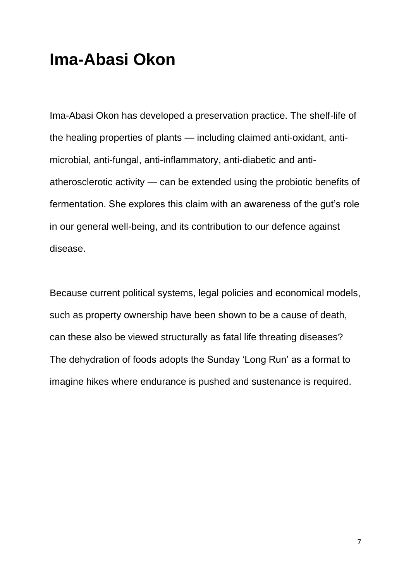## **Ima-Abasi Okon**

Ima-Abasi Okon has developed a preservation practice. The shelf-life of the healing properties of plants — including claimed anti-oxidant, antimicrobial, anti-fungal, anti-inflammatory, anti-diabetic and antiatherosclerotic activity — can be extended using the probiotic benefits of fermentation. She explores this claim with an awareness of the gut's role in our general well-being, and its contribution to our defence against disease.

Because current political systems, legal policies and economical models, such as property ownership have been shown to be a cause of death, can these also be viewed structurally as fatal life threating diseases? The dehydration of foods adopts the Sunday 'Long Run' as a format to imagine hikes where endurance is pushed and sustenance is required.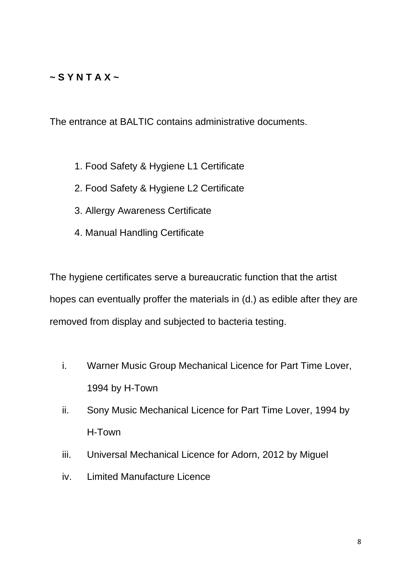#### **~ S Y N T A X ~**

The entrance at BALTIC contains administrative documents.

- 1. Food Safety & Hygiene L1 Certificate
- 2. Food Safety & Hygiene L2 Certificate
- 3. Allergy Awareness Certificate
- 4. Manual Handling Certificate

The hygiene certificates serve a bureaucratic function that the artist hopes can eventually proffer the materials in (d.) as edible after they are removed from display and subjected to bacteria testing.

- i. Warner Music Group Mechanical Licence for Part Time Lover, 1994 by H-Town
- ii. Sony Music Mechanical Licence for Part Time Lover, 1994 by H-Town
- iii. Universal Mechanical Licence for Adorn, 2012 by Miguel
- iv. Limited Manufacture Licence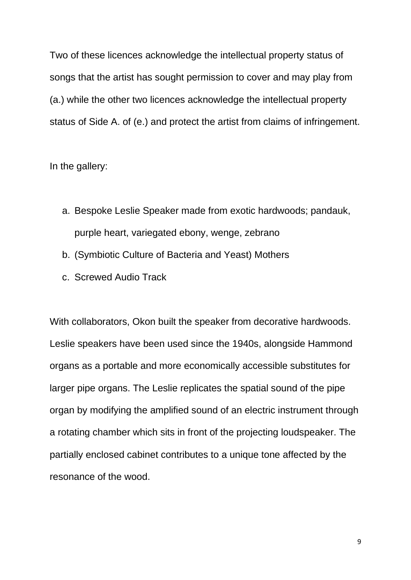Two of these licences acknowledge the intellectual property status of songs that the artist has sought permission to cover and may play from (a.) while the other two licences acknowledge the intellectual property status of Side A. of (e.) and protect the artist from claims of infringement.

In the gallery:

- a. Bespoke Leslie Speaker made from exotic hardwoods; pandauk, purple heart, variegated ebony, wenge, zebrano
- b. (Symbiotic Culture of Bacteria and Yeast) Mothers
- c. Screwed Audio Track

With collaborators, Okon built the speaker from decorative hardwoods. Leslie speakers have been used since the 1940s, alongside Hammond organs as a portable and more economically accessible substitutes for larger pipe organs. The Leslie replicates the spatial sound of the pipe organ by modifying the amplified sound of an electric instrument through a rotating chamber which sits in front of the projecting loudspeaker. The partially enclosed cabinet contributes to a unique tone affected by the resonance of the wood.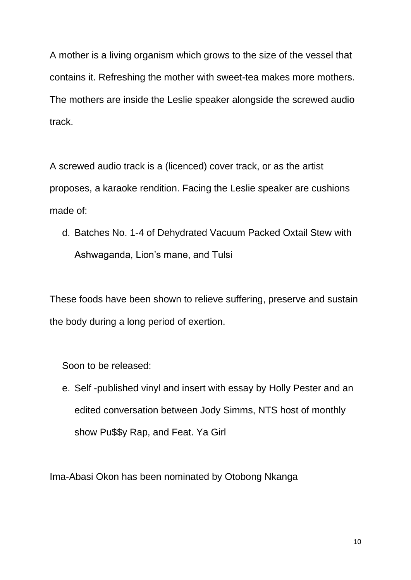A mother is a living organism which grows to the size of the vessel that contains it. Refreshing the mother with sweet-tea makes more mothers. The mothers are inside the Leslie speaker alongside the screwed audio track.

A screwed audio track is a (licenced) cover track, or as the artist proposes, a karaoke rendition. Facing the Leslie speaker are cushions made of:

d. Batches No. 1-4 of Dehydrated Vacuum Packed Oxtail Stew with Ashwaganda, Lion's mane, and Tulsi

These foods have been shown to relieve suffering, preserve and sustain the body during a long period of exertion.

Soon to be released:

e. Self -published vinyl and insert with essay by Holly Pester and an edited conversation between Jody Simms, NTS host of monthly show Pu\$\$y Rap, and Feat. Ya Girl

Ima-Abasi Okon has been nominated by Otobong Nkanga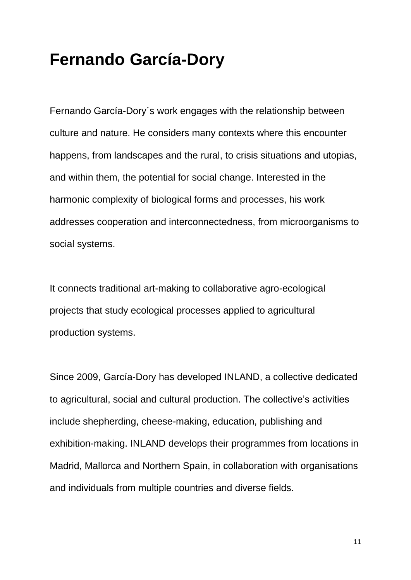## **Fernando García-Dory**

Fernando García-Dory´s work engages with the relationship between culture and nature. He considers many contexts where this encounter happens, from landscapes and the rural, to crisis situations and utopias, and within them, the potential for social change. Interested in the harmonic complexity of biological forms and processes, his work addresses cooperation and interconnectedness, from microorganisms to social systems.

It connects traditional art-making to collaborative agro-ecological projects that study ecological processes applied to agricultural production systems.

Since 2009, García-Dory has developed INLAND, a collective dedicated to agricultural, social and cultural production. The collective's activities include shepherding, cheese-making, education, publishing and exhibition-making. INLAND develops their programmes from locations in Madrid, Mallorca and Northern Spain, in collaboration with organisations and individuals from multiple countries and diverse fields.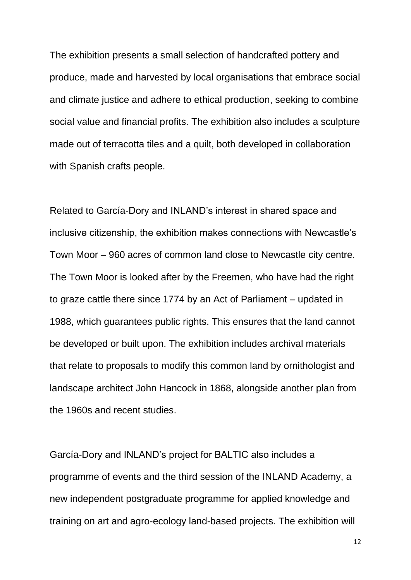The exhibition presents a small selection of handcrafted pottery and produce, made and harvested by local organisations that embrace social and climate justice and adhere to ethical production, seeking to combine social value and financial profits. The exhibition also includes a sculpture made out of terracotta tiles and a quilt, both developed in collaboration with Spanish crafts people.

Related to García-Dory and INLAND's interest in shared space and inclusive citizenship, the exhibition makes connections with Newcastle's Town Moor – 960 acres of common land close to Newcastle city centre. The Town Moor is looked after by the Freemen, who have had the right to graze cattle there since 1774 by an Act of Parliament – updated in 1988, which guarantees public rights. This ensures that the land cannot be developed or built upon. The exhibition includes archival materials that relate to proposals to modify this common land by ornithologist and landscape architect John Hancock in 1868, alongside another plan from the 1960s and recent studies.

García-Dory and INLAND's project for BALTIC also includes a programme of events and the third session of the INLAND Academy, a new independent postgraduate programme for applied knowledge and training on art and agro-ecology land-based projects. The exhibition will